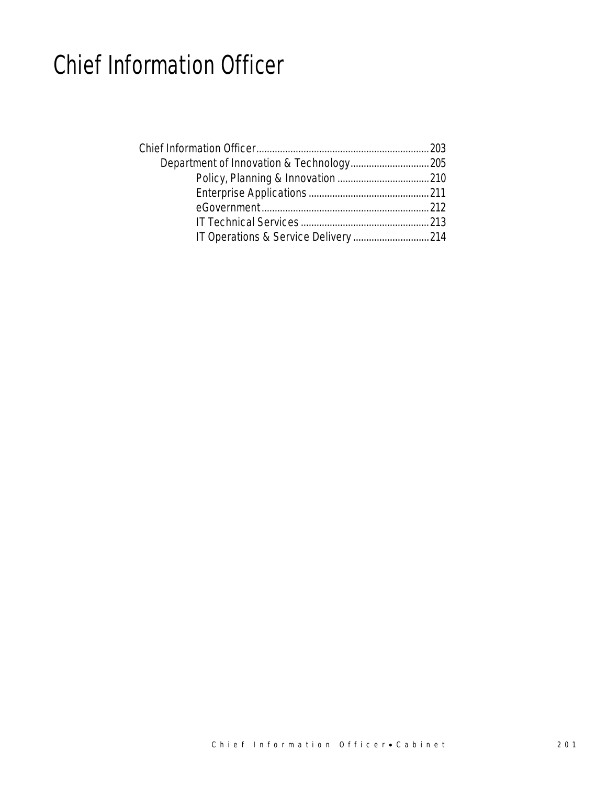## Chief Information Officer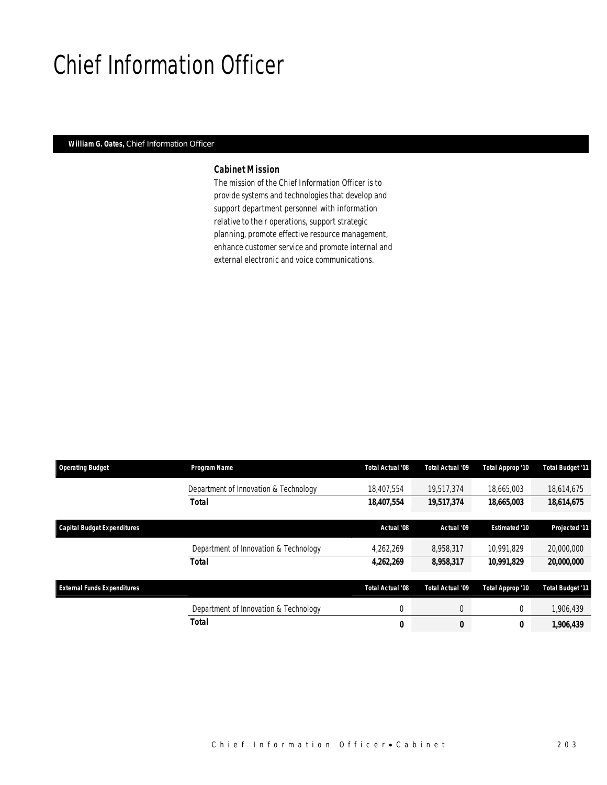## Chief Information Officer

### *William G. Oates, Chief Information Officer*

## *Cabinet Mission*

The mission of the Chief Information Officer is to provide systems and technologies that develop and support department personnel with information relative to their operations, support strategic planning, promote effective resource management, enhance customer service and promote internal and external electronic and voice communications.

| <b>Operating Budget</b>            | Program Name                          | Total Actual '08 | Total Actual '09 | Total Approp '10     | <b>Total Budget '11</b>  |
|------------------------------------|---------------------------------------|------------------|------------------|----------------------|--------------------------|
|                                    | Department of Innovation & Technology | 18,407,554       | 19.517.374       | 18.665.003           | 18,614,675               |
|                                    | <b>Total</b>                          | 18,407,554       | 19,517,374       | 18,665,003           | 18,614,675               |
| <b>Capital Budget Expenditures</b> |                                       | Actual '08       | Actual '09       | <b>Estimated '10</b> | Projected '11            |
|                                    | Department of Innovation & Technology | 4.262.269        | 8.958.317        | 10.991.829           | 20,000,000               |
|                                    | Total                                 | 4,262,269        | 8,958,317        | 10,991,829           | <i><b>20,000,000</b></i> |
| <b>External Funds Expenditures</b> |                                       | Total Actual '08 | Total Actual '09 | Total Approp '10     | <b>Total Budget '11</b>  |
|                                    | Department of Innovation & Technology | $\mathbf 0$      | $\overline{0}$   | 0                    | 1,906,439                |
|                                    | Total                                 | 0                | 0                | 0                    | 1,906,439                |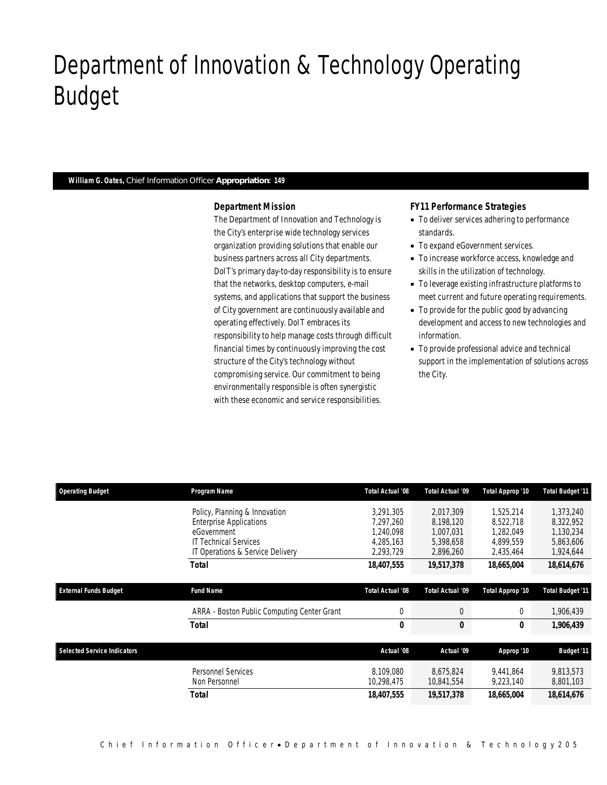## Department of Innovation & Technology Operating Budget

### *William G. Oates, Chief Information Officer Appropriation: 149*

Department of Innovation & Technology

#### *Department Mission*

The Department of Innovation and Technology is the City's enterprise wide technology services organization providing solutions that enable our business partners across all City departments. DoIT's primary day-to-day responsibility is to ensure that the networks, desktop computers, e-mail systems, and applications that support the business of City government are continuously available and operating effectively. DoIT embraces its responsibility to help manage costs through difficult financial times by continuously improving the cost structure of the City's technology without compromising service. Our commitment to being environmentally responsible is often synergistic with these economic and service responsibilities.

#### *FY11 Performance Strategies*

- To deliver services adhering to performance standards.
- To expand eGovernment services.
- To increase workforce access, knowledge and skills in the utilization of technology.
- To leverage existing infrastructure platforms to meet current and future operating requirements.
- To provide for the public good by advancing development and access to new technologies and information.
- To provide professional advice and technical support in the implementation of solutions across the City.

| <b>Operating Budget</b>            | Program Name                                | Total Actual '08 | Total Actual '09 | Total Approp '10 | <b>Total Budget '11</b> |
|------------------------------------|---------------------------------------------|------------------|------------------|------------------|-------------------------|
|                                    | Policy, Planning & Innovation               | 3,291,305        | 2,017,309        | 1.525.214        | 1,373,240               |
|                                    | <b>Enterprise Applications</b>              | 7.297.260        | 8,198,120        | 8,522,718        | 8,322,952               |
|                                    | eGovernment                                 | 1.240.098        | 1,007,031        | 1.282.049        | 1,130,234               |
|                                    | <b>IT Technical Services</b>                | 4.285.163        | 5,398,658        | 4.899.559        | 5,863,606               |
|                                    | IT Operations & Service Delivery            | 2,293,729        | 2,896,260        | 2,435,464        | 1,924,644               |
|                                    | Total                                       | 18,407,555       | 19,517,378       | 18,665,004       | 18,614,676              |
|                                    |                                             |                  |                  |                  |                         |
| <b>External Funds Budget</b>       | <b>Fund Name</b>                            | Total Actual '08 | Total Actual '09 | Total Approp '10 | <b>Total Budget '11</b> |
|                                    | ARRA - Boston Public Computing Center Grant | 0                | 0                | 0                | 1,906,439               |
|                                    | Total                                       | 0                | 0                | 0                | 1,906,439               |
|                                    |                                             |                  |                  |                  |                         |
| <b>Selected Service Indicators</b> |                                             | Actual '08       | Actual '09       | Approp '10       | <b>Budget '11</b>       |
|                                    | <b>Personnel Services</b>                   | 8.109.080        | 8.675.824        | 9.441.864        | 9,813,573               |
|                                    | Non Personnel                               | 10,298,475       | 10,841,554       | 9,223,140        | 8,801,103               |
|                                    | Total                                       | 18,407,555       | 19,517,378       | 18,665,004       | 18,614,676              |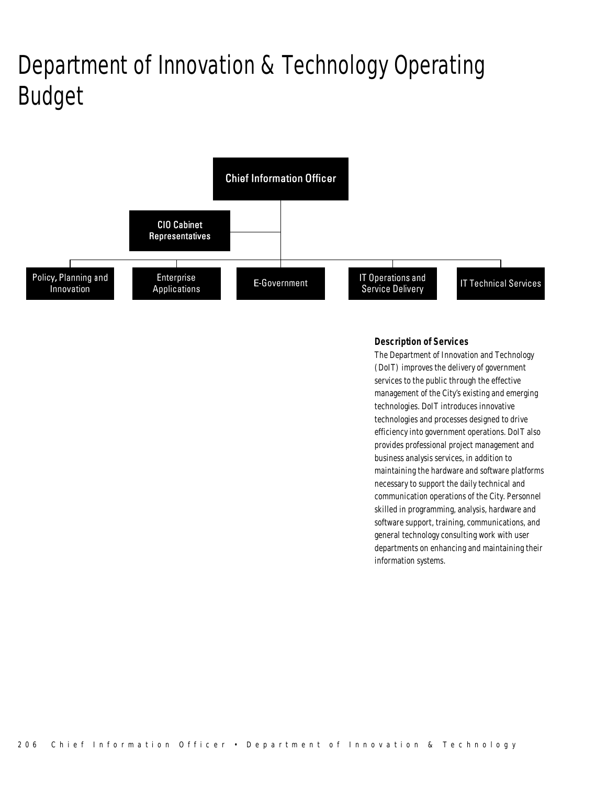# Department of Innovation & Technology Operating Budget



### *Description of Services*

The Department of Innovation and Technology (DoIT) improves the delivery of government services to the public through the effective management of the City's existing and emerging technologies. DoIT introduces innovative technologies and processes designed to drive efficiency into government operations. DoIT also provides professional project management and business analysis services, in addition to maintaining the hardware and software platforms necessary to support the daily technical and communication operations of the City. Personnel skilled in programming, analysis, hardware and software support, training, communications, and general technology consulting work with user departments on enhancing and maintaining their information systems.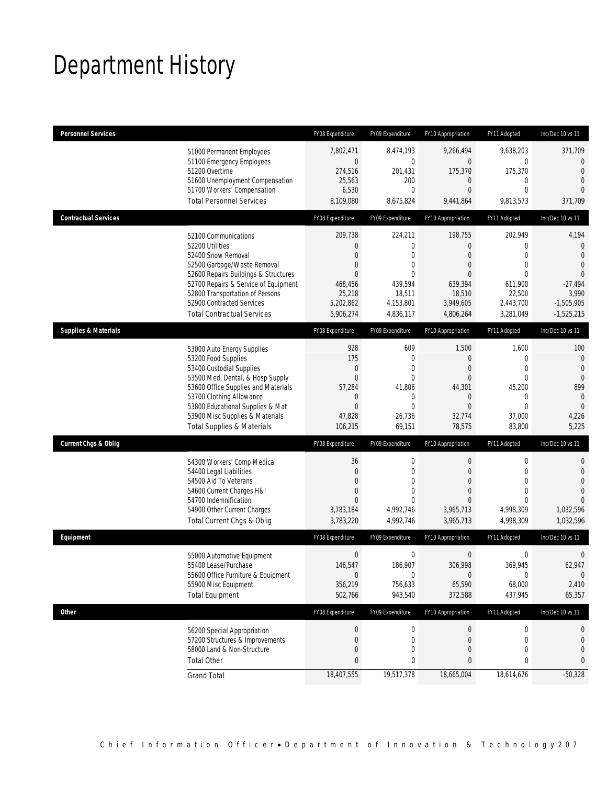## Department History

| <b>Personnel Services</b>       |                                                                                                                                                                                                                                                                                                      | FY08 Expenditure                                                                                            | FY09 Expenditure                                                                                                              | FY10 Appropriation                                                                                                                         | FY11 Adopted                                                                                                                     | Inc/Dec 10 vs 11                                                                                                                     |
|---------------------------------|------------------------------------------------------------------------------------------------------------------------------------------------------------------------------------------------------------------------------------------------------------------------------------------------------|-------------------------------------------------------------------------------------------------------------|-------------------------------------------------------------------------------------------------------------------------------|--------------------------------------------------------------------------------------------------------------------------------------------|----------------------------------------------------------------------------------------------------------------------------------|--------------------------------------------------------------------------------------------------------------------------------------|
|                                 | 51000 Permanent Employees<br>51100 Emergency Employees<br>51200 Overtime<br>51600 Unemployment Compensation<br>51700 Workers' Compensation<br><b>Total Personnel Services</b>                                                                                                                        | 7,802,471<br>$\mathbf 0$<br>274,516<br>25,563<br>6,530<br>8,109,080                                         | 8,474,193<br>$\mathbf 0$<br>201,431<br>200<br>$\overline{0}$<br>8,675,824                                                     | 9,266,494<br>$\mathbf 0$<br>175,370<br>$\mathbf 0$<br>$\overline{0}$<br>9,441,864                                                          | 9,638,203<br>0<br>175,370<br>$\mathbf 0$<br>$\overline{0}$<br>9,813,573                                                          | 371,709<br>$\mathbf{0}$<br>$\overline{0}$<br>$\overline{0}$<br>$\Omega$<br>371,709                                                   |
| <b>Contractual Services</b>     |                                                                                                                                                                                                                                                                                                      | FY08 Expenditure                                                                                            | FY09 Expenditure                                                                                                              | FY10 Appropriation                                                                                                                         | FY11 Adopted                                                                                                                     | Inc/Dec 10 vs 11                                                                                                                     |
|                                 | 52100 Communications<br>52200 Utilities<br>52400 Snow Removal<br>52500 Garbage/Waste Removal<br>52600 Repairs Buildings & Structures<br>52700 Repairs & Service of Equipment<br>52800 Transportation of Persons<br>52900 Contracted Services<br><b>Total Contractual Services</b>                    | 209,738<br>0<br>$\overline{0}$<br>0<br>0<br>468,456<br>25,218<br>5,202,862<br>5,906,274                     | 224,211<br>0<br>$\overline{0}$<br>0<br>$\theta$<br>439,594<br>18,511<br>4,153,801<br>4,836,117                                | 198,755<br>0<br>$\overline{0}$<br>$\overline{0}$<br>$\theta$<br>639,394<br>18,510<br>3,949,605<br>4,806,264                                | 202,949<br>$\mathbf{0}$<br>$\overline{0}$<br>$\mathbf{0}$<br>$\Omega$<br>611,900<br>22,500<br>2,443,700<br>3,281,049             | 4,194<br>0<br>$\overline{0}$<br>$\overline{0}$<br>$\theta$<br>$-27,494$<br>3,990<br>$-1,505,905$<br>$-1,525,215$                     |
| <b>Supplies &amp; Materials</b> |                                                                                                                                                                                                                                                                                                      | FY08 Expenditure                                                                                            | FY09 Expenditure                                                                                                              | FY10 Appropriation                                                                                                                         | FY11 Adopted                                                                                                                     | Inc/Dec 10 vs 11                                                                                                                     |
| <b>Current Chgs &amp; Oblig</b> | 53000 Auto Energy Supplies<br>53200 Food Supplies<br>53400 Custodial Supplies<br>53500 Med, Dental, & Hosp Supply<br>53600 Office Supplies and Materials<br>53700 Clothing Allowance<br>53800 Educational Supplies & Mat<br>53900 Misc Supplies & Materials<br><b>Total Supplies &amp; Materials</b> | 928<br>175<br>$\overline{0}$<br>$\overline{0}$<br>57,284<br>0<br>0<br>47,828<br>106,215<br>FY08 Expenditure | 609<br>0<br>$\mathbf{0}$<br>$\overline{0}$<br>41.806<br>$\mathbf 0$<br>$\overline{0}$<br>26,736<br>69,151<br>FY09 Expenditure | 1,500<br>$\theta$<br>$\overline{0}$<br>$\overline{0}$<br>44,301<br>$\mathbf 0$<br>$\overline{0}$<br>32,774<br>78,575<br>FY10 Appropriation | 1,600<br>$\mathbf 0$<br>$\mathbf 0$<br>$\mathbf{0}$<br>45,200<br>$\mathbf 0$<br>$\mathbf{0}$<br>37,000<br>83,800<br>FY11 Adopted | 100<br>$\mathbf{0}$<br>$\mathbf{0}$<br>$\overline{0}$<br>899<br>$\overline{0}$<br>$\mathbf{0}$<br>4,226<br>5,225<br>Inc/Dec 10 vs 11 |
|                                 | 54300 Workers' Comp Medical<br>54400 Legal Liabilities<br>54500 Aid To Veterans<br>54600 Current Charges H&I<br>54700 Indemnification<br>54900 Other Current Charges<br>Total Current Chgs & Oblig                                                                                                   | 36<br>0<br>$\overline{0}$<br>0<br>$\Omega$<br>3,783,184<br>3,783,220                                        | $\mathbf 0$<br>$\overline{0}$<br>$\Omega$<br>0<br>$\theta$<br>4,992,746<br>4,992,746                                          | $\boldsymbol{0}$<br>$\overline{0}$<br>$\Omega$<br>$\overline{0}$<br>$\Omega$<br>3,965,713<br>3,965,713                                     | $\boldsymbol{0}$<br>$\mathbf{0}$<br>$\Omega$<br>$\mathbf{0}$<br>$\Omega$<br>4,998,309<br>4,998,309                               | $\mathbf 0$<br>$\mathbf{0}$<br>$\overline{0}$<br>$\overline{0}$<br>$\theta$<br>1,032,596<br>1,032,596                                |
| Equipment                       |                                                                                                                                                                                                                                                                                                      | FY08 Expenditure                                                                                            | FY09 Expenditure                                                                                                              | FY10 Appropriation                                                                                                                         | FY11 Adopted                                                                                                                     | Inc/Dec 10 vs 11                                                                                                                     |
|                                 | 55000 Automotive Equipment<br>55400 Lease/Purchase<br>55600 Office Furniture & Equipment<br>55900 Misc Equipment<br><b>Total Equipment</b>                                                                                                                                                           | $\boldsymbol{0}$<br>146,547<br>$\mathbf 0$<br>356,219<br>502,766                                            | $\mathbf 0$<br>186,907<br>$\boldsymbol{0}$<br>756,633<br>943,540                                                              | $\mathbf 0$<br>306,998<br>$\mathbf 0$<br>65,590<br>372,588                                                                                 | $\mathbf 0$<br>369,945<br>0<br>68,000<br>437,945                                                                                 | $\mathbf 0$<br>62,947<br>$\overline{0}$<br>2,410<br>65,357                                                                           |
| Other                           |                                                                                                                                                                                                                                                                                                      | FY08 Expenditure                                                                                            | FY09 Expenditure                                                                                                              | FY10 Appropriation                                                                                                                         | FY11 Adopted                                                                                                                     | Inc/Dec 10 vs 11                                                                                                                     |
|                                 | 56200 Special Appropriation<br>57200 Structures & Improvements<br>58000 Land & Non-Structure<br><b>Total Other</b>                                                                                                                                                                                   | $\boldsymbol{0}$<br>0<br>0<br>0                                                                             | 0<br>$\mathbf 0$<br>0<br>0                                                                                                    | $\pmb{0}$<br>$\mathbf 0$<br>0<br>0                                                                                                         | $\boldsymbol{0}$<br>$\mathbf 0$<br>$\mathbf{0}$<br>0                                                                             | 0<br>$\mathbf 0$<br>0<br>0                                                                                                           |
|                                 | <b>Grand Total</b>                                                                                                                                                                                                                                                                                   | 18,407,555                                                                                                  | 19,517,378                                                                                                                    | 18,665,004                                                                                                                                 | 18,614,676                                                                                                                       | $-50,328$                                                                                                                            |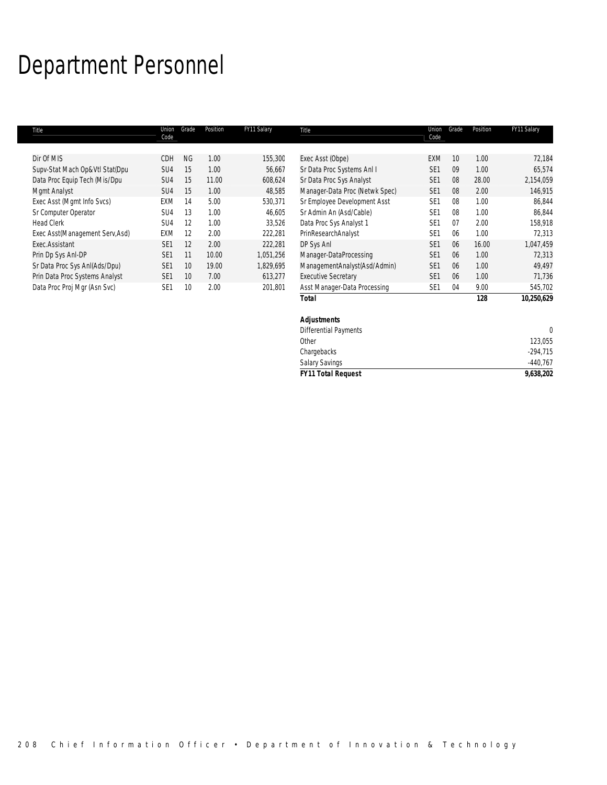# Department Personnel

|                                 |                 |       |          |             | <b>Total</b>                   |                 |                 | 128      | 10,250,629  |
|---------------------------------|-----------------|-------|----------|-------------|--------------------------------|-----------------|-----------------|----------|-------------|
| Data Proc Proj Mgr (Asn Svc)    | SE <sub>1</sub> | 10    | 2.00     | 201,801     | Asst Manager-Data Processing   | SE <sub>1</sub> | 04              | 9.00     | 545,702     |
| Prin Data Proc Systems Analyst  | SE <sub>1</sub> | 10    | 7.00     | 613,277     | <b>Executive Secretary</b>     | SE <sub>1</sub> | 06              | 1.00     | 71,736      |
| Sr Data Proc Sys AnI(Ads/Dpu)   | SE <sub>1</sub> | 10    | 19.00    | 1,829,695   | ManagementAnalyst(Asd/Admin)   | SE <sub>1</sub> | 06              | 1.00     | 49,497      |
| Prin Dp Sys Anl-DP              | SE <sub>1</sub> | 11    | 10.00    | 1,051,256   | Manager-DataProcessing         | SE <sub>1</sub> | 06              | 1.00     | 72,313      |
| Exec.Assistant                  | SE <sub>1</sub> | 12    | 2.00     | 222,281     | DP Sys Anl                     | SE <sub>1</sub> | 06              | 16.00    | 1,047,459   |
| Exec Asst(Management Serv, Asd) | <b>EXM</b>      | 12    | 2.00     | 222,281     | PrinResearchAnalyst            | SE <sub>1</sub> | 06              | 1.00     | 72,313      |
| <b>Head Clerk</b>               | SU <sub>4</sub> | 12    | 1.00     | 33.526      | Data Proc Sys Analyst 1        | SE <sub>1</sub> | 07              | 2.00     | 158.918     |
| Sr Computer Operator            | SU <sub>4</sub> | 13    | 1.00     | 46,605      | Sr Admin An (Asd/Cable)        | SE <sub>1</sub> | 08              | 1.00     | 86,844      |
| Exec Asst (Mgmt Info Svcs)      | EXM             | 14    | 5.00     | 530,371     | Sr Employee Development Asst   | SE <sub>1</sub> | 08              | 1.00     | 86,844      |
| Mgmt Analyst                    | SU <sub>4</sub> | 15    | 1.00     | 48,585      | Manager-Data Proc (Netwk Spec) | SE <sub>1</sub> | 08              | 2.00     | 146,915     |
| Data Proc Equip Tech (Mis/Dpu   | SU <sub>4</sub> | 15    | 11.00    | 608,624     | Sr Data Proc Sys Analyst       | SE <sub>1</sub> | 08              | 28.00    | 2,154,059   |
| Supv-Stat Mach Op&Vtl Stat(Dpu  | SU <sub>4</sub> | 15    | 1.00     | 56,667      | Sr Data Proc Systems Anl I     | SE <sub>1</sub> | 09              | 1.00     | 65,574      |
| Dir Of MIS                      | CDH             | NG    | 1.00     | 155,300     | Exec Asst (Obpe)               | <b>EXM</b>      | 10 <sup>°</sup> | 1.00     | 72,184      |
|                                 |                 |       |          |             |                                |                 |                 |          |             |
| Title                           | Union<br>Code   | Grade | Position | FY11 Salary | Title                          | Union<br>Code   | Grade           | Position | FY11 Salary |
|                                 |                 |       |          |             |                                |                 |                 |          |             |

| Total<br>128                 | 10,250,625 |
|------------------------------|------------|
| <b>Adjustments</b>           |            |
| <b>Differential Payments</b> |            |
| Other                        | 123,055    |
| Chargebacks                  | $-294,715$ |
| <b>Salary Savings</b>        | $-440,767$ |
| <b>FY11 Total Request</b>    | 9,638,202  |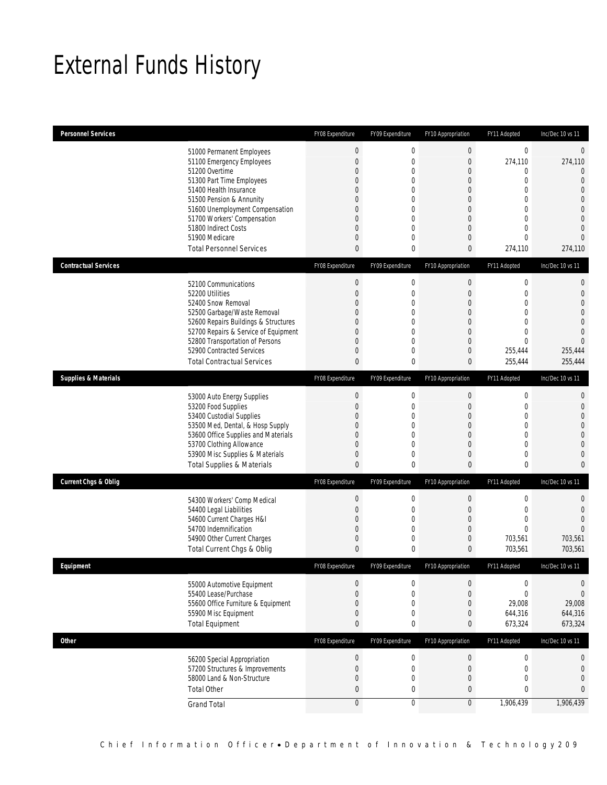## External Funds History

| <b>Personnel Services</b>       |                                                     | FY08 Expenditure | FY09 Expenditure            | FY10 Appropriation               | FY11 Adopted                     | Inc/Dec 10 vs 11                 |
|---------------------------------|-----------------------------------------------------|------------------|-----------------------------|----------------------------------|----------------------------------|----------------------------------|
|                                 | 51000 Permanent Employees                           | $\boldsymbol{0}$ | 0                           | $\boldsymbol{0}$                 | $\mathbf 0$                      | $\mathbf 0$                      |
|                                 | 51100 Emergency Employees                           | $\boldsymbol{0}$ | $\mathbf 0$                 | $\boldsymbol{0}$                 | 274,110                          | 274,110                          |
|                                 | 51200 Overtime                                      | 0                | $\mathbf 0$                 | $\overline{0}$                   | 0                                | $\overline{0}$                   |
|                                 | 51300 Part Time Employees                           | 0                | $\mathbf 0$                 | $\mathbf 0$                      | $\mathbf{0}$                     | $\overline{0}$                   |
|                                 | 51400 Health Insurance                              | 0                | $\mathbf 0$                 | $\overline{0}$                   | $\overline{0}$                   | $\mathbf 0$                      |
|                                 | 51500 Pension & Annunity                            | 0                | $\mathbf 0$                 | $\overline{0}$                   | $\mathbf{0}$                     | $\overline{0}$                   |
|                                 | 51600 Unemployment Compensation                     | 0                | $\mathbf{0}$                | $\overline{0}$                   | $\overline{0}$<br>$\overline{0}$ | $\mathbf{0}$                     |
|                                 | 51700 Workers' Compensation<br>51800 Indirect Costs | 0<br>0           | $\mathbf 0$<br>$\mathbf{0}$ | $\overline{0}$<br>$\overline{0}$ | $\overline{0}$                   | $\overline{0}$<br>$\overline{0}$ |
|                                 | 51900 Medicare                                      | 0                | $\mathbf 0$                 | $\overline{0}$                   | $\Omega$                         | $\overline{0}$                   |
|                                 | <b>Total Personnel Services</b>                     | $\mathbf{0}$     | 0                           | 0                                | 274,110                          | 274,110                          |
| <b>Contractual Services</b>     |                                                     | FY08 Expenditure | FY09 Expenditure            | FY10 Appropriation               | FY11 Adopted                     | Inc/Dec 10 vs 11                 |
|                                 |                                                     |                  |                             |                                  |                                  |                                  |
|                                 | 52100 Communications                                | $\boldsymbol{0}$ | $\boldsymbol{0}$            | $\boldsymbol{0}$                 | $\boldsymbol{0}$                 | 0                                |
|                                 | 52200 Utilities                                     | $\overline{0}$   | $\mathbf 0$                 | $\mathbf 0$                      | $\mathbf{0}$                     | $\mathbf{0}$                     |
|                                 | 52400 Snow Removal<br>52500 Garbage/Waste Removal   | 0<br>0           | $\mathbf{0}$<br>$\mathbf 0$ | $\overline{0}$<br>$\theta$       | $\overline{0}$<br>$\mathbf{0}$   | $\mathbf 0$<br>$\overline{0}$    |
|                                 | 52600 Repairs Buildings & Structures                | $\overline{0}$   | $\mathbf{0}$                | $\overline{0}$                   | $\overline{0}$                   | $\overline{0}$                   |
|                                 | 52700 Repairs & Service of Equipment                | 0                | $\mathbf 0$                 | $\overline{0}$                   | $\overline{0}$                   | $\overline{0}$                   |
|                                 | 52800 Transportation of Persons                     | $\mathbf 0$      | $\mathbf 0$                 | $\mathbf 0$                      | $\mathbf{0}$                     | $\Omega$                         |
|                                 | 52900 Contracted Services                           | 0                | 0                           | $\overline{0}$                   | 255,444                          | 255.444                          |
|                                 | <b>Total Contractual Services</b>                   | $\mathbf{0}$     | 0                           | 0                                | 255,444                          | 255,444                          |
| <b>Supplies &amp; Materials</b> |                                                     | FY08 Expenditure | FY09 Expenditure            | FY10 Appropriation               | FY11 Adopted                     | Inc/Dec 10 vs 11                 |
|                                 |                                                     | $\boldsymbol{0}$ | $\boldsymbol{0}$            | $\mathbf 0$                      | $\boldsymbol{0}$                 | $\mathbf 0$                      |
|                                 | 53000 Auto Energy Supplies<br>53200 Food Supplies   | $\boldsymbol{0}$ | $\mathbf 0$                 | $\overline{0}$                   | $\mathbf{0}$                     | $\mathbf{0}$                     |
|                                 | 53400 Custodial Supplies                            | $\overline{0}$   | $\overline{0}$              | $\overline{0}$                   | $\overline{0}$                   | $\mathbf 0$                      |
|                                 | 53500 Med, Dental, & Hosp Supply                    | 0                | $\mathbf 0$                 | $\overline{0}$                   | $\mathbf{0}$                     | $\mathbf{0}$                     |
|                                 | 53600 Office Supplies and Materials                 | $\mathbf 0$      | $\overline{0}$              | $\overline{0}$                   | $\overline{0}$                   | $\mathbf{0}$                     |
|                                 | 53700 Clothing Allowance                            | 0                | $\mathbf 0$                 | $\overline{0}$                   | $\overline{0}$                   | $\overline{0}$                   |
|                                 | 53900 Misc Supplies & Materials                     | 0                | $\mathbf 0$                 | $\overline{0}$                   | $\mathbf 0$                      | $\overline{0}$                   |
|                                 | <b>Total Supplies &amp; Materials</b>               | $\pmb{0}$        | $\bf{0}$                    | 0                                | $\bf{0}$                         | $\mathbf{0}$                     |
| <b>Current Chgs &amp; Oblig</b> |                                                     | FY08 Expenditure | FY09 Expenditure            | FY10 Appropriation               | FY11 Adopted                     | Inc/Dec 10 vs 11                 |
|                                 | 54300 Workers' Comp Medical                         | $\boldsymbol{0}$ | $\mathbf 0$                 | $\mathbf 0$                      | $\mathbf 0$                      | $\mathbf{0}$                     |
|                                 | 54400 Legal Liabilities                             | $\mathbf 0$      | 0                           | $\mathbf 0$                      | $\mathbf 0$                      | $\mathbf{0}$                     |
|                                 | 54600 Current Charges H&I                           | 0                | $\mathbf 0$                 | $\overline{0}$                   | $\mathbf 0$                      | $\Omega$                         |
|                                 | 54700 Indemnification                               | $\overline{0}$   | $\overline{0}$              | $\overline{0}$                   | $\Omega$                         | $\Omega$                         |
|                                 | 54900 Other Current Charges                         | $\boldsymbol{0}$ | 0                           | 0                                | 703,561                          | 703,561                          |
|                                 | Total Current Chgs & Oblig                          | $\mathbf{0}$     | 0                           | 0                                | 703,561                          | 703,561                          |
| Eauipment                       |                                                     | FY08 Expenditure | FY09 Expenditure            | FY10 Appropriation               | FY11 Adopted                     | Inc/Dec 10 vs 11                 |
|                                 | 55000 Automotive Equipment                          | $\mathbf 0$      | 0                           | $\mathbf 0$                      | 0                                | $\mathbf 0$                      |
|                                 | 55400 Lease/Purchase                                | $\boldsymbol{0}$ | $\mathbf 0$                 | $\boldsymbol{0}$                 | $\mathbf 0$                      | $\overline{0}$                   |
|                                 | 55600 Office Furniture & Equipment                  | $\boldsymbol{0}$ | 0                           | $\mathbf 0$                      | 29,008                           | 29,008                           |
|                                 | 55900 Misc Equipment                                | $\boldsymbol{0}$ | $\boldsymbol{0}$            | $\mathbf 0$                      | 644,316                          | 644,316                          |
|                                 | <b>Total Equipment</b>                              | $\pmb{0}$        | 0                           | 0                                | 673,324                          | 673,324                          |
| Other                           |                                                     | FY08 Expenditure | FY09 Expenditure            | FY10 Appropriation               | FY11 Adopted                     | Inc/Dec 10 vs 11                 |
|                                 | 56200 Special Appropriation                         | $\boldsymbol{0}$ | $\boldsymbol{0}$            | $\boldsymbol{0}$                 | $\boldsymbol{0}$                 | $\mathbf 0$                      |
|                                 | 57200 Structures & Improvements                     | $\boldsymbol{0}$ | $\mathbf 0$                 | $\boldsymbol{0}$                 | $\boldsymbol{0}$                 | $\mathbf{0}$                     |
|                                 | 58000 Land & Non-Structure                          | $\boldsymbol{0}$ | $\mathbf 0$                 | $\boldsymbol{0}$                 | $\mathbf 0$                      | $\mathbf 0$                      |
|                                 | <b>Total Other</b>                                  | $\pmb{0}$        | $\bf{0}$                    | 0                                | $\pmb{0}$                        | $\bf{0}$                         |
|                                 | <b>Grand Total</b>                                  | $\boldsymbol{0}$ | $\boldsymbol{0}$            | $\mathbf 0$                      | 1,906,439                        | 1,906,439                        |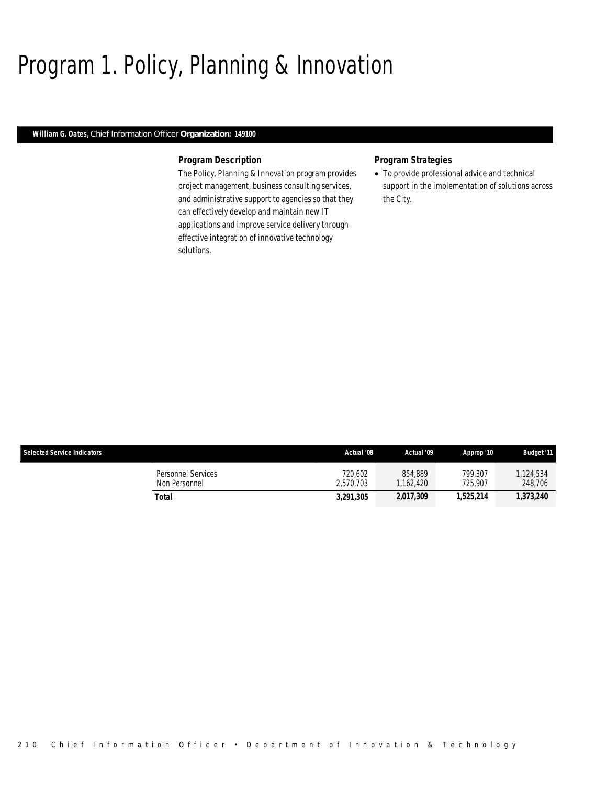## Program 1. Policy, Planning & Innovation

### *William G. Oates, Chief Information Officer Organization: 149100*

### *Program Description*

The Policy, Planning & Innovation program provides project management, business consulting services, and administrative support to agencies so that they can effectively develop and maintain new IT applications and improve service delivery through effective integration of innovative technology solutions.

### *Program Strategies*

• To provide professional advice and technical support in the implementation of solutions across the City.

| <b>Selected Service Indicators</b>  | Actual '08           | Actual '09          | Approp '10         | <b>Budget '11</b>    |
|-------------------------------------|----------------------|---------------------|--------------------|----------------------|
| Personnel Services<br>Non Personnel | 720,602<br>2.570.703 | 854.889<br>.162.420 | 799.307<br>725.907 | 1.124.534<br>248,706 |
| Total                               | 3,291,305            | 2,017,309           | 1,525,214          | 1,373,240            |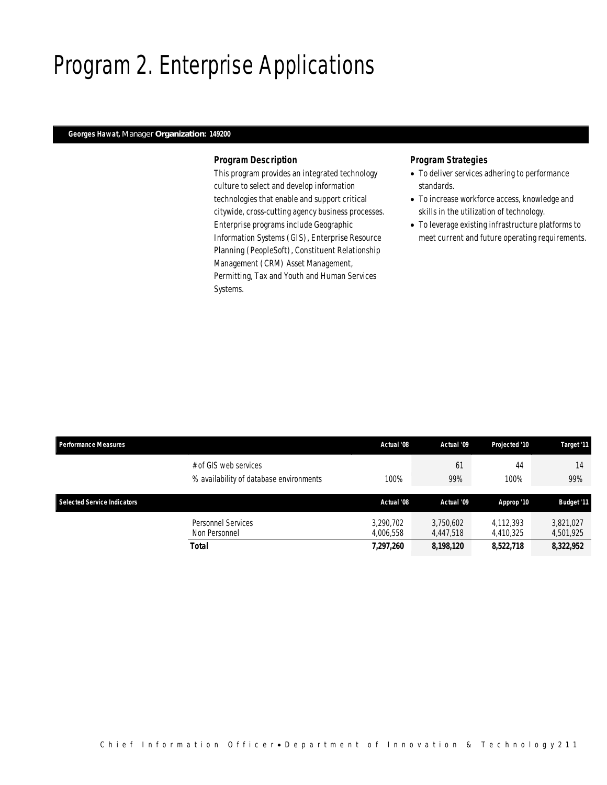## Program 2. Enterprise Applications

## *Georges Hawat, Manager Organization: 149200*

### *Program Description*

This program provides an integrated technology culture to select and develop information technologies that enable and support critical citywide, cross-cutting agency business processes. Enterprise programs include Geographic Information Systems (GIS), Enterprise Resource Planning (PeopleSoft), Constituent Relationship Management (CRM) Asset Management, Permitting, Tax and Youth and Human Services Systems.

- To deliver services adhering to performance standards.
- To increase workforce access, knowledge and skills in the utilization of technology.
- To leverage existing infrastructure platforms to meet current and future operating requirements.

| <b>Performance Measures</b>        |                                                                  | Actual '08             | Actual '09             | Projected '10          | Target '11             |
|------------------------------------|------------------------------------------------------------------|------------------------|------------------------|------------------------|------------------------|
|                                    | # of GIS web services<br>% availability of database environments | 100%                   | 61<br>99%              | 44<br>100%             | 14<br>99%              |
| <b>Selected Service Indicators</b> |                                                                  | Actual '08             | Actual '09             | Approp '10             | <b>Budget '11</b>      |
|                                    | Personnel Services<br>Non Personnel                              | 3,290,702<br>4.006.558 | 3.750.602<br>4.447.518 | 4,112,393<br>4,410,325 | 3,821,027<br>4,501,925 |
|                                    | <b>Total</b>                                                     | 7,297,260              | 8,198,120              | 8,522,718              | 8,322,952              |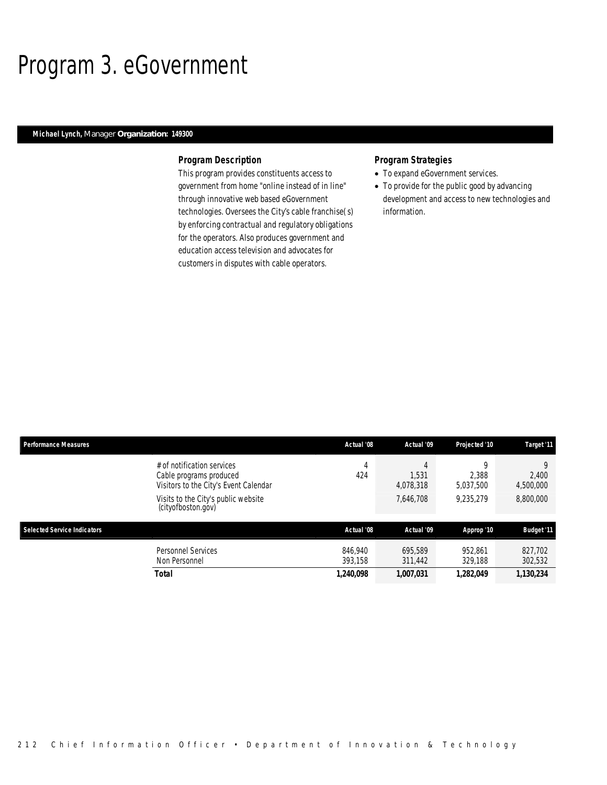## Program 3. eGovernment

## *Michael Lynch, Manager Organization: 149300*

### *Program Description*

This program provides constituents access to government from home "online instead of in line" through innovative web based eGovernment technologies. Oversees the City's cable franchise(s) by enforcing contractual and regulatory obligations for the operators. Also produces government and education access television and advocates for customers in disputes with cable operators.

- To expand eGovernment services.
- To provide for the public good by advancing development and access to new technologies and information.

| <b>Performance Measures</b>        |                                                                                                | Actual '08         | Actual '09              | Projected '10           | Target '11              |
|------------------------------------|------------------------------------------------------------------------------------------------|--------------------|-------------------------|-------------------------|-------------------------|
|                                    | # of notification services<br>Cable programs produced<br>Visitors to the City's Event Calendar | 4<br>424           | 4<br>1.531<br>4,078,318 | O<br>2.388<br>5,037,500 | 9<br>2,400<br>4,500,000 |
|                                    | Visits to the City's public website<br>(cityofboston.gov)                                      |                    | 7,646,708               | 9,235,279               | 8,800,000               |
| <b>Selected Service Indicators</b> |                                                                                                | Actual '08         | Actual '09              | Approp '10              | <b>Budget '11</b>       |
|                                    | Personnel Services<br>Non Personnel                                                            | 846.940<br>393.158 | 695.589<br>311,442      | 952,861<br>329,188      | 827,702<br>302,532      |
|                                    | <b>Total</b>                                                                                   | 1,240,098          | 1,007,031               | 1,282,049               | 1,130,234               |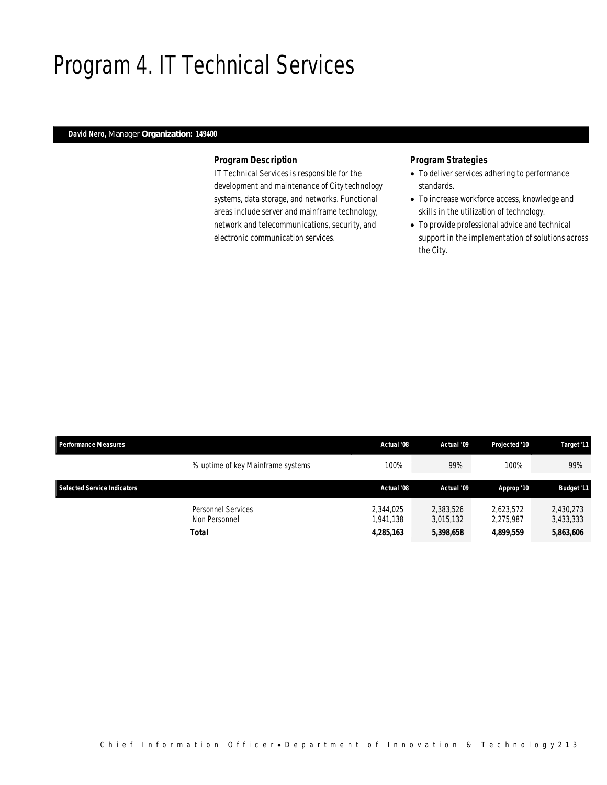## Program 4. IT Technical Services

## *David Nero, Manager Organization: 149400*

### *Program Description*

IT Technical Services is responsible for the development and maintenance of City technology systems, data storage, and networks. Functional areas include server and mainframe technology, network and telecommunications, security, and electronic communication services.

- To deliver services adhering to performance standards.
- To increase workforce access, knowledge and skills in the utilization of technology.
- To provide professional advice and technical support in the implementation of solutions across the City.

| <b>Performance Measures</b> |                                            | Actual '08             | Actual '09             | Projected '10          | Target '11             |
|-----------------------------|--------------------------------------------|------------------------|------------------------|------------------------|------------------------|
|                             | % uptime of key Mainframe systems          | 100%                   | 99%                    | 100%                   | 99%                    |
| Selected Service Indicators |                                            | Actual '08             | Actual '09             | Approp '10             | <b>Budget '11</b>      |
|                             | <b>Personnel Services</b><br>Non Personnel | 2,344,025<br>1.941.138 | 2,383,526<br>3.015.132 | 2.623.572<br>2.275.987 | 2,430,273<br>3,433,333 |
|                             | Total                                      | 4,285,163              | 5,398,658              | 4,899,559              | 5,863,606              |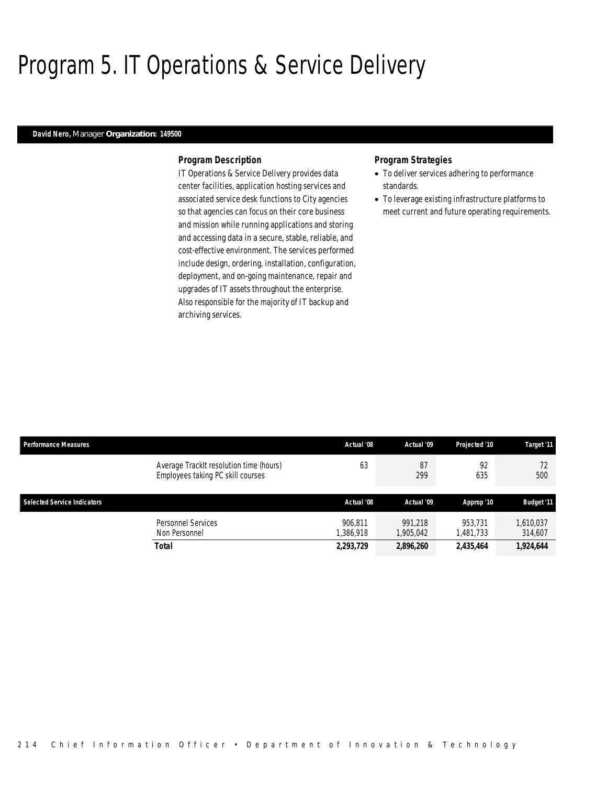## Program 5. IT Operations & Service Delivery

#### *David Nero, Manager Organization: 149500*

### *Program Description*

IT Operations & Service Delivery provides data center facilities, application hosting services and associated service desk functions to City agencies so that agencies can focus on their core business and mission while running applications and storing and accessing data in a secure, stable, reliable, and cost-effective environment. The services performed include design, ordering, installation, configuration, deployment, and on-going maintenance, repair and upgrades of IT assets throughout the enterprise. Also responsible for the majority of IT backup and archiving services.

- To deliver services adhering to performance standards.
- To leverage existing infrastructure platforms to meet current and future operating requirements.

| <b>Performance Measures</b>        |                                                                              | Actual '08           | Actual '09           | Projected '10       | Target '11           |
|------------------------------------|------------------------------------------------------------------------------|----------------------|----------------------|---------------------|----------------------|
|                                    | Average TrackIt resolution time (hours)<br>Employees taking PC skill courses | 63                   | 87<br>299            | 92<br>635           | 72<br>500            |
| <b>Selected Service Indicators</b> |                                                                              | Actual '08           | Actual '09           | Approp '10          | <b>Budget '11</b>    |
|                                    | Personnel Services<br>Non Personnel                                          | 906.811<br>1,386,918 | 991.218<br>1.905.042 | 953.731<br>,481,733 | 1,610,037<br>314,607 |
|                                    | <b>Total</b>                                                                 | 2,293,729            | 2,896,260            | 2,435,464           | 1,924,644            |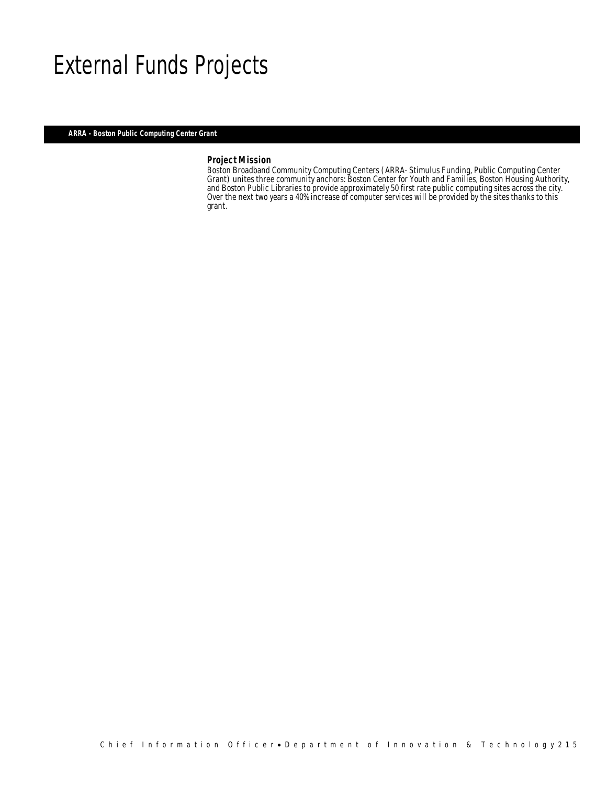## External Funds Projects

*ARRA - Boston Public Computing Center Grant* 

## *Project Mission*

Ì

Boston Broadband Community Computing Centers (ARRA- Stimulus Funding, Public Computing Center Grant) unites three community anchors: Boston Center for Youth and Families, Boston Housing Authority, and Boston Public Libraries to provide approximately 50 first rate public computing sites across the city. Over the next two years a 40% increase of computer services will be provided by the sites thanks to this grant.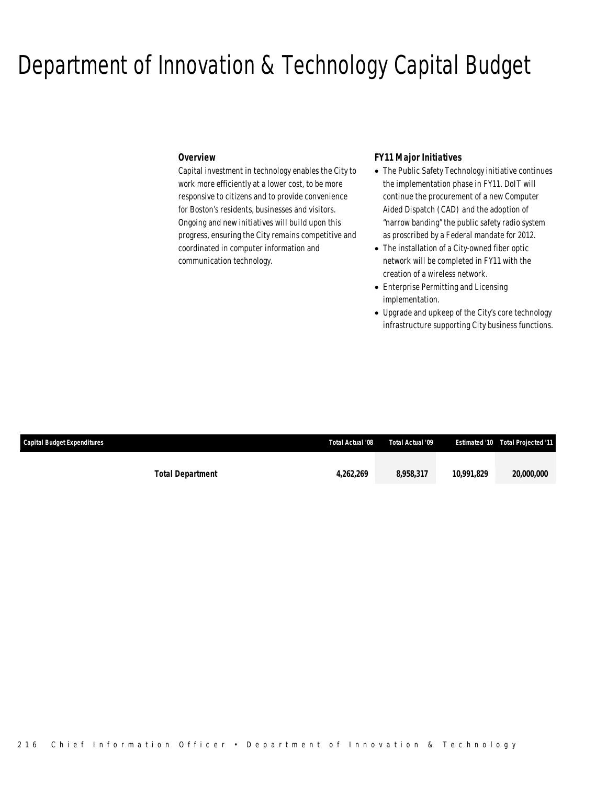## Department of Innovation & Technology Capital Budget

## *Overview*

Capital investment in technology enables the City to work more efficiently at a lower cost, to be more responsive to citizens and to provide convenience for Boston's residents, businesses and visitors. Ongoing and new initiatives will build upon this progress, ensuring the City remains competitive and coordinated in computer information and communication technology.

### *FY11 Major Initiatives*

- The Public Safety Technology initiative continues the implementation phase in FY11. DoIT will continue the procurement of a new Computer Aided Dispatch (CAD) and the adoption of "narrow banding" the public safety radio system as proscribed by a Federal mandate for 2012.
- The installation of a City-owned fiber optic network will be completed in FY11 with the creation of a wireless network.
- Enterprise Permitting and Licensing implementation.
- Upgrade and upkeep of the City's core technology infrastructure supporting City business functions.

| <b>Capital Budget Expenditures</b> |                         | Total Actual '08 | Total Actual '09 |            | <b>Estimated '10 Total Projected '11</b> |
|------------------------------------|-------------------------|------------------|------------------|------------|------------------------------------------|
|                                    |                         |                  |                  |            |                                          |
|                                    | <b>Total Department</b> | 4.262.269        | 8,958,317        | 10.991.829 | <i><b>20.000.000</b></i>                 |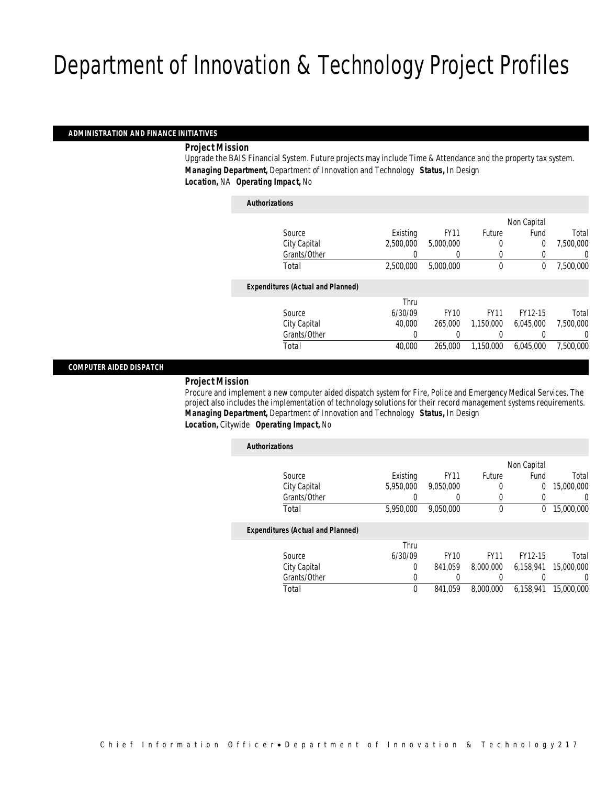### *ADMINISTRATION AND FINANCE INITIATIVES*

### *Project Mission*

Upgrade the BAIS Financial System. Future projects may include Time & Attendance and the property tax system. *Managing Department,* Department of Innovation and Technology *Status,* In Design *Location,* NA *Operating Impact,* No

| <b>Authorizations</b>                    |           |             |             |                |           |
|------------------------------------------|-----------|-------------|-------------|----------------|-----------|
|                                          |           |             |             | Non Capital    |           |
| Source                                   | Existing  | <b>FY11</b> | Future      | Fund           | Total     |
| City Capital                             | 2.500.000 | 5,000,000   | 0           | $\overline{0}$ | 7,500,000 |
| Grants/Other                             |           | 0           | 0           | 0              | 0         |
| Total                                    | 2,500,000 | 5,000,000   | $\mathbf 0$ | 0              | 7,500,000 |
| <b>Expenditures (Actual and Planned)</b> |           |             |             |                |           |
|                                          | Thru      |             |             |                |           |
| Source                                   | 6/30/09   | <b>FY10</b> | <b>FY11</b> | FY12-15        | Total     |
| City Capital                             | 40,000    | 265,000     | 1.150.000   | 6.045.000      | 7,500,000 |
| Grants/Other                             | 0         | 0           |             |                | 0         |
| Total                                    | 40,000    | 265,000     | 1,150,000   | 6,045,000      | 7.500.000 |
|                                          |           |             |             |                |           |

### *COMPUTER AIDED DISPATCH*

### *Project Mission*

Procure and implement a new computer aided dispatch system for Fire, Police and Emergency Medical Services. The project also includes the implementation of technology solutions for their record management systems requirements. *Managing Department,* Department of Innovation and Technology *Status,* In Design *Location,* Citywide *Operating Impact,* No

| <b>Authorizations</b> |                                          |             |             |             |                |            |
|-----------------------|------------------------------------------|-------------|-------------|-------------|----------------|------------|
|                       |                                          |             |             |             | Non Capital    |            |
|                       | Source                                   | Existing    | <b>FY11</b> | Future      | Fund           | Total      |
|                       | City Capital                             | 5.950.000   | 9.050.000   | 0           | $\overline{0}$ | 15,000,000 |
|                       | Grants/Other                             | 0           | 0           | 0           |                | 0          |
|                       | Total                                    | 5,950,000   | 9.050.000   | $\mathbf 0$ | 0              | 15,000,000 |
|                       | <b>Expenditures (Actual and Planned)</b> |             |             |             |                |            |
|                       |                                          | Thru        |             |             |                |            |
|                       | Source                                   | 6/30/09     | <b>FY10</b> | <b>FY11</b> | FY12-15        | Total      |
|                       | City Capital                             | 0           | 841.059     | 8,000,000   | 6.158.941      | 15,000,000 |
|                       | Grants/Other                             | 0           |             |             |                | 0          |
|                       | Total                                    | $\mathbf 0$ | 841.059     | 8,000,000   | 6.158.941      | 15,000,000 |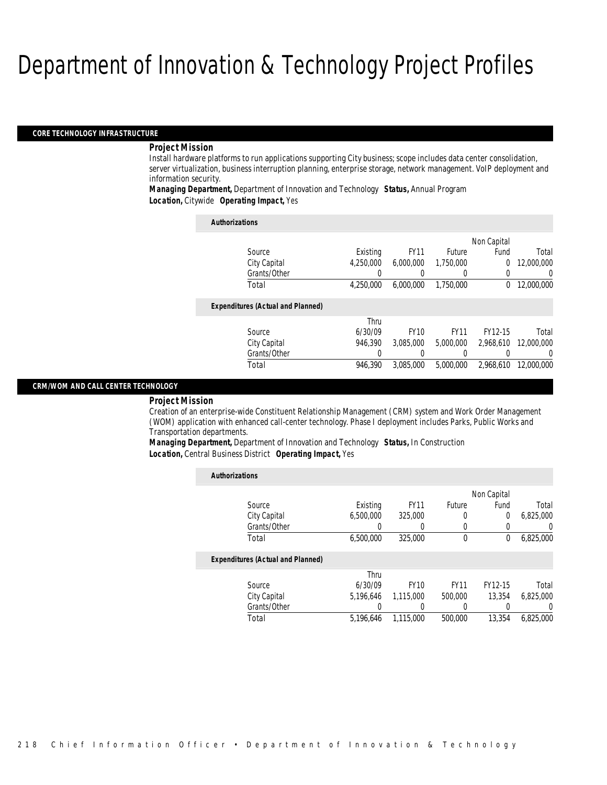#### *CORE TECHNOLOGY INFRASTRUCTURE*

#### *Project Mission*

Install hardware platforms to run applications supporting City business; scope includes data center consolidation, server virtualization, business interruption planning, enterprise storage, network management. VoIP deployment and information security.

*Managing Department,* Department of Innovation and Technology *Status,* Annual Program *Location,* Citywide *Operating Impact,* Yes

| <b>Authorizations</b>                    |                  |             |                  |             |                  |
|------------------------------------------|------------------|-------------|------------------|-------------|------------------|
|                                          |                  |             |                  | Non Capital |                  |
| Source                                   | Existing         | <b>FY11</b> | Future           | Fund        | Total            |
| City Capital                             | 4.250.000        | 6.000.000   | 1.750.000        | $\Omega$    | 12,000,000       |
| Grants/Other                             | 0                | 0           | $\left( \right)$ | $\Omega$    | $\left( \right)$ |
| Total                                    | 4.250.000        | 6.000.000   | 1.750.000        | $\bf{0}$    | 12,000,000       |
| <b>Expenditures (Actual and Planned)</b> |                  |             |                  |             |                  |
|                                          | Thru             |             |                  |             |                  |
| Source                                   | 6/30/09          | <b>FY10</b> | <b>FY11</b>      | FY12-15     | Total            |
| City Capital                             | 946.390          | 3.085.000   | 5,000,000        | 2.968.610   | 12,000,000       |
| Grants/Other                             | $\left( \right)$ |             |                  |             | $\Omega$         |
| Total                                    | 946.390          | 3.085.000   | 5,000,000        | 2.968.610   | 12,000,000       |

### *CRM/WOM AND CALL CENTER TECHNOLOGY*

#### *Project Mission*

Creation of an enterprise-wide Constituent Relationship Management (CRM) system and Work Order Management (WOM) application with enhanced call-center technology. Phase I deployment includes Parks, Public Works and Transportation departments.

*Managing Department,* Department of Innovation and Technology *Status,* In Construction *Location,* Central Business District *Operating Impact,* Yes

| <b>Authorizations</b>                    |           |             |             |                |           |
|------------------------------------------|-----------|-------------|-------------|----------------|-----------|
|                                          |           |             |             | Non Capital    |           |
| Source                                   | Existing  | <b>FY11</b> | Future      | Fund           | Total     |
| City Capital                             | 6.500.000 | 325,000     | 0           | $\overline{0}$ | 6,825,000 |
| Grants/Other                             |           |             | 0           | 0              |           |
| Total                                    | 6,500,000 | 325,000     | 0           | 0              | 6,825,000 |
| <b>Expenditures (Actual and Planned)</b> |           |             |             |                |           |
|                                          | Thru      |             |             |                |           |
| Source                                   | 6/30/09   | <b>FY10</b> | <b>FY11</b> | FY12-15        | Total     |
| City Capital                             | 5.196.646 | 1.115.000   | 500,000     | 13,354         | 6.825,000 |
| Grants/Other                             |           |             | 0           | 0              |           |
| Total                                    | 5.196.646 | 1.115.000   | 500,000     | 13,354         | 6.825.000 |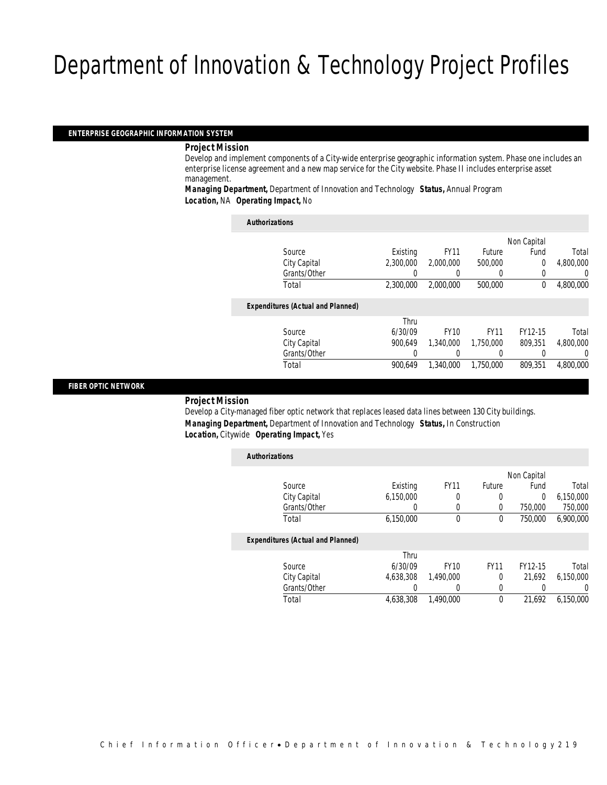#### *ENTERPRISE GEOGRAPHIC INFORMATION SYSTEM*

*Project Mission* 

Develop and implement components of a City-wide enterprise geographic information system. Phase one includes an enterprise license agreement and a new map service for the City website. Phase II includes enterprise asset management.

*Managing Department,* Department of Innovation and Technology *Status,* Annual Program *Location,* NA *Operating Impact,* No

| <b>Authorizations</b>                    |           |             |             |             |           |
|------------------------------------------|-----------|-------------|-------------|-------------|-----------|
|                                          |           |             |             | Non Capital |           |
| Source                                   | Existing  | <b>FY11</b> | Future      | Fund        | Total     |
| City Capital                             | 2.300.000 | 2,000,000   | 500,000     | 0           | 4.800.000 |
| Grants/Other                             |           | 0           | 0           | 0           | 0         |
| Total                                    | 2.300.000 | 2,000,000   | 500,000     | 0           | 4,800,000 |
| <b>Expenditures (Actual and Planned)</b> |           |             |             |             |           |
|                                          | Thru      |             |             |             |           |
| Source                                   | 6/30/09   | <b>FY10</b> | <b>FY11</b> | FY12-15     | Total     |
| City Capital                             | 900.649   | 1,340,000   | 1.750.000   | 809.351     | 4.800.000 |
| Grants/Other                             | 0         |             | 0           | 0           | 0         |
| Total                                    | 900.649   | 1,340,000   | 1,750,000   | 809.351     | 4.800.000 |

### *FIBER OPTIC NETWORK*

*Project Mission* 

Develop a City-managed fiber optic network that replaces leased data lines between 130 City buildings. *Managing Department,* Department of Innovation and Technology *Status,* In Construction *Location,* Citywide *Operating Impact,* Yes

| <b>Authorizations</b> |                                          |           |             |              |             |           |
|-----------------------|------------------------------------------|-----------|-------------|--------------|-------------|-----------|
|                       |                                          |           |             |              | Non Capital |           |
|                       | Source                                   | Existing  | <b>FY11</b> | Future       | Fund        | Total     |
|                       | City Capital                             | 6,150,000 | 0           | 0            | $\theta$    | 6,150,000 |
|                       | Grants/Other                             | 0         | 0           | 0            | 750,000     | 750,000   |
|                       | Total                                    | 6,150,000 | $\theta$    | $\theta$     | 750,000     | 6,900,000 |
|                       | <b>Expenditures (Actual and Planned)</b> |           |             |              |             |           |
|                       |                                          | Thru      |             |              |             |           |
|                       | Source                                   | 6/30/09   | <b>FY10</b> | <b>FY11</b>  | FY12-15     | Total     |
|                       | City Capital                             | 4.638.308 | 1.490.000   | $\Omega$     | 21.692      | 6.150.000 |
|                       | Grants/Other                             | 0         |             | 0            |             | 0         |
|                       | Total                                    | 4.638.308 | 1.490.000   | $\mathbf{0}$ | 21,692      | 6.150.000 |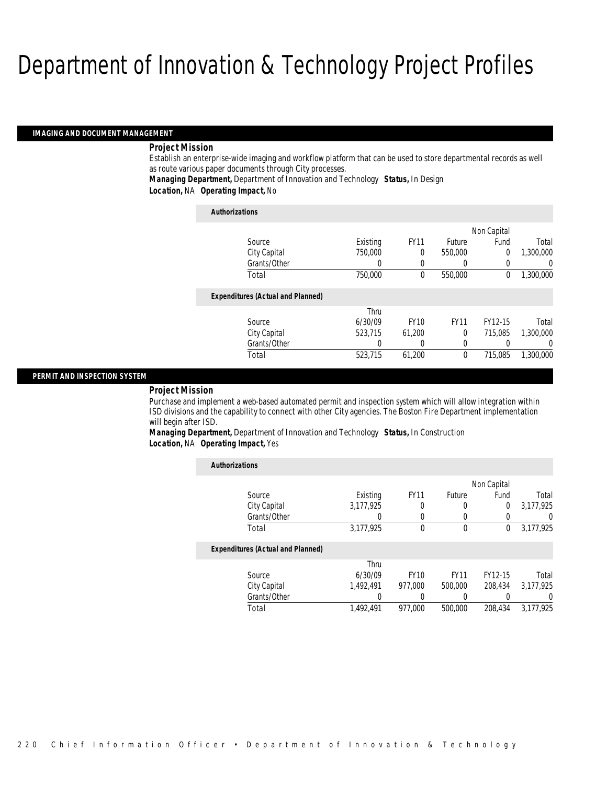#### *IMAGING AND DOCUMENT MANAGEMENT*

#### *Project Mission*

Establish an enterprise-wide imaging and workflow platform that can be used to store departmental records as well as route various paper documents through City processes.

### *Managing Department,* Department of Innovation and Technology *Status,* In Design *Location,* NA *Operating Impact,* No

| <b>Authorizations</b>                    |          |                |               |             |           |
|------------------------------------------|----------|----------------|---------------|-------------|-----------|
|                                          |          |                |               | Non Capital |           |
| Source                                   | Existing | <b>FY11</b>    | <b>Future</b> | Fund        | Total     |
| City Capital                             | 750,000  | 0              | 550,000       | 0           | 1,300,000 |
| Grants/Other                             | 0        | $\overline{0}$ |               | 0           | 0         |
| Total                                    | 750,000  | $\Omega$       | 550,000       | 0           | 1,300,000 |
| <b>Expenditures (Actual and Planned)</b> |          |                |               |             |           |
|                                          | Thru     |                |               |             |           |
| Source                                   | 6/30/09  | <b>FY10</b>    | <b>FY11</b>   | FY12-15     | Total     |
| City Capital                             | 523.715  | 61.200         | $\theta$      | 715.085     | 1,300,000 |
| Grants/Other                             | 0        | 0              | 0             |             | 0         |
| Total                                    | 523,715  | 61,200         | $\theta$      | 715,085     | 1,300,000 |

### *PERMIT AND INSPECTION SYSTEM*

#### *Project Mission*

Purchase and implement a web-based automated permit and inspection system which will allow integration within ISD divisions and the capability to connect with other City agencies. The Boston Fire Department implementation will begin after ISD.

*Managing Department,* Department of Innovation and Technology *Status,* In Construction *Location,* NA *Operating Impact,* Yes

| <b>Authorizations</b>                    |           |             |             |             |           |
|------------------------------------------|-----------|-------------|-------------|-------------|-----------|
|                                          |           |             |             | Non Capital |           |
| Source                                   | Existing  | <b>FY11</b> | Future      | Fund        | Total     |
| City Capital                             | 3,177,925 | 0           | 0           | 0           | 3,177,925 |
| Grants/Other                             | 0         | 0           | 0           |             | 0         |
| Total                                    | 3,177,925 | 0           | $\mathbf 0$ | 0           | 3,177,925 |
| <b>Expenditures (Actual and Planned)</b> |           |             |             |             |           |
|                                          | Thru      |             |             |             |           |
| Source                                   | 6/30/09   | <b>FY10</b> | <b>FY11</b> | FY12-15     | Total     |
| City Capital                             | 1.492.491 | 977.000     | 500,000     | 208.434     | 3.177.925 |
| Grants/Other                             | 0         | 0           | 0           |             | 0         |
| Total                                    | 1.492.491 | 977.000     | 500,000     | 208.434     | 3.177.925 |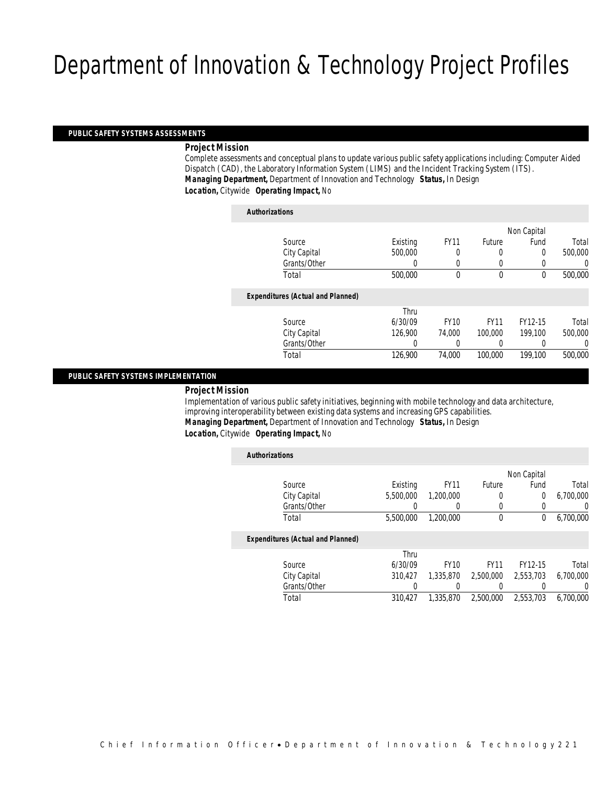#### *PUBLIC SAFETY SYSTEMS ASSESSMENTS*

### *Project Mission*

Complete assessments and conceptual plans to update various public safety applications including: Computer Aided Dispatch (CAD), the Laboratory Information System (LIMS) and the Incident Tracking System (ITS). *Managing Department,* Department of Innovation and Technology *Status,* In Design *Location,* Citywide *Operating Impact,* No

## *Authorizations*

| AUUIVIILUUVIIJ                           |          |             |             |             |         |
|------------------------------------------|----------|-------------|-------------|-------------|---------|
|                                          |          |             |             | Non Capital |         |
| Source                                   | Existing | <b>FY11</b> | Future      | Fund        | Total   |
| City Capital                             | 500,000  |             |             | 0           | 500,000 |
| Grants/Other                             | 0        | 0           |             |             | 0       |
| Total                                    | 500,000  | 0           | $\theta$    | 0           | 500,000 |
| <b>Expenditures (Actual and Planned)</b> |          |             |             |             |         |
|                                          | Thru     |             |             |             |         |
| Source                                   | 6/30/09  | <b>FY10</b> | <b>FY11</b> | FY12-15     | Total   |
| City Capital                             | 126,900  | 74.000      | 100,000     | 199,100     | 500,000 |
| Grants/Other                             | 0        |             | 0           |             | 0       |
| Total                                    | 126,900  | 74,000      | 100,000     | 199,100     | 500,000 |
|                                          |          |             |             |             |         |

#### *PUBLIC SAFETY SYSTEMS IMPLEMENTATION*

#### *Project Mission*

Implementation of various public safety initiatives, beginning with mobile technology and data architecture, improving interoperability between existing data systems and increasing GPS capabilities. *Managing Department,* Department of Innovation and Technology *Status,* In Design *Location,* Citywide *Operating Impact,* No

| <b>Authorizations</b> |                                          |           |             |              |             |           |
|-----------------------|------------------------------------------|-----------|-------------|--------------|-------------|-----------|
|                       |                                          |           |             |              | Non Capital |           |
|                       | Source                                   | Existing  | <b>FY11</b> | Future       | Fund        | Total     |
|                       | City Capital                             | 5,500,000 | 1,200,000   | $\Omega$     | 0           | 6,700,000 |
|                       | Grants/Other                             |           |             | 0            | 0           | 0         |
|                       | Total                                    | 5,500,000 | 1,200,000   | $\mathbf{0}$ | 0           | 6,700,000 |
|                       | <b>Expenditures (Actual and Planned)</b> |           |             |              |             |           |
|                       |                                          | Thru      |             |              |             |           |
|                       | Source                                   | 6/30/09   | <b>FY10</b> | <b>FY11</b>  | FY12-15     | Total     |
|                       | City Capital                             | 310.427   | 1,335,870   | 2,500,000    | 2,553,703   | 6,700,000 |
|                       | Grants/Other                             | 0         |             |              | $\cup$      | U         |
|                       | Total                                    | 310,427   | 1,335,870   | 2,500,000    | 2,553,703   | 6.700.000 |